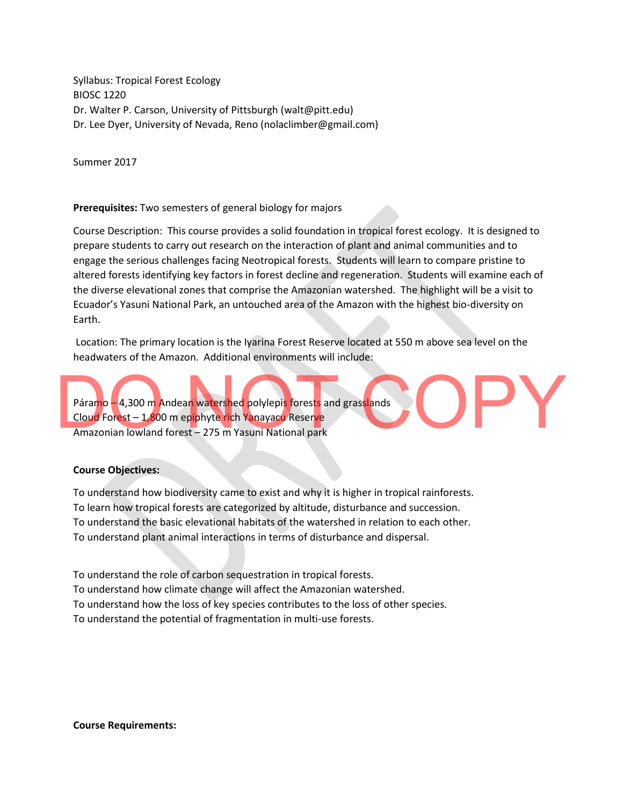Syllabus: Tropical Forest Ecology BIOSC 1220 Dr. Walter P. Carson, University of Pittsburgh (walt@pitt.edu) Dr. Lee Dyer, University of Nevada, Reno (nolaclimber@gmail.com)

Summer 2017

## **Prerequisites:** Two semesters of general biology for majors

Course Description: This course provides a solid foundation in tropical forest ecology. It is designed to prepare students to carry out research on the interaction of plant and animal communities and to engage the serious challenges facing Neotropical forests. Students will learn to compare pristine to altered forests identifying key factors in forest decline and regeneration. Students will examine each of the diverse elevational zones that comprise the Amazonian watershed. The highlight will be a visit to Ecuador's Yasuni National Park, an untouched area of the Amazon with the highest bio-diversity on Earth.

Location: The primary location is the Iyarina Forest Reserve located at 550 m above sea level on the headwaters of the Amazon. Additional environments will include:

Páramo – 4,300 m Andean watershed polylepis forests and grasslands Cloud Forest – 1,800 m epiphyte rich Yanayacu Reserve Amazonian lowland forest – 275 m Yasuni National park Páramo – 4,300 m Andean watershed polylepis forests and grasslands<br>Cloud Forest – 1,800 m epiphyte rich Yanayacu Reserve<br>Amazonian lowland forest – 275 m Yasuni National park

## **Course Objectives:**

To understand how biodiversity came to exist and why it is higher in tropical rainforests. To learn how tropical forests are categorized by altitude, disturbance and succession. To understand the basic elevational habitats of the watershed in relation to each other. To understand plant animal interactions in terms of disturbance and dispersal.

To understand the role of carbon sequestration in tropical forests. To understand how climate change will affect the Amazonian watershed. To understand how the loss of key species contributes to the loss of other species. To understand the potential of fragmentation in multi-use forests.

**Course Requirements:**